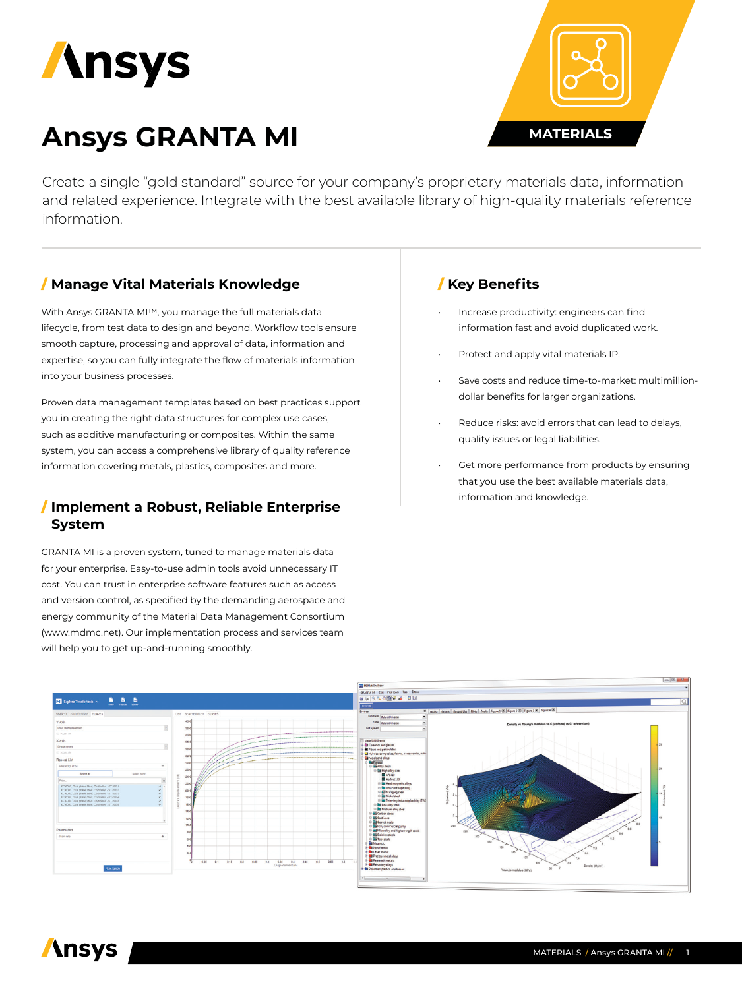

# **Ansys GRANTA MI**



Create a single "gold standard" source for your company's proprietary materials data, information and related experience. Integrate with the best available library of high-quality materials reference information.

# / **Manage Vital Materials Knowledge**

With Ansys GRANTA MI™, you manage the full materials data lifecycle, from test data to design and beyond. Workflow tools ensure smooth capture, processing and approval of data, information and expertise, so you can fully integrate the flow of materials information into your business processes.

Proven data management templates based on best practices support you in creating the right data structures for complex use cases, such as additive manufacturing or composites. Within the same system, you can access a comprehensive library of quality reference information covering metals, plastics, composites and more.

#### / **Implement a Robust, Reliable Enterprise System**

GRANTA MI is a proven system, tuned to manage materials data for your enterprise. Easy-to-use admin tools avoid unnecessary IT cost. You can trust in enterprise software features such as access and version control, as specified by the demanding aerospace and energy community of the Material Data Management Consortium (www.mdmc.net). Our implementation process and services team will help you to get up-and-running smoothly.

# / **Key Benefits**

- Increase productivity: engineers can find information fast and avoid duplicated work.
- Protect and apply vital materials IP.
- Save costs and reduce time-to-market: multimilliondollar benefits for larger organizations.
- Reduce risks: avoid errors that can lead to delays, quality issues or legal liabilities.
- Get more performance from products by ensuring that you use the best available materials data, information and knowledge.